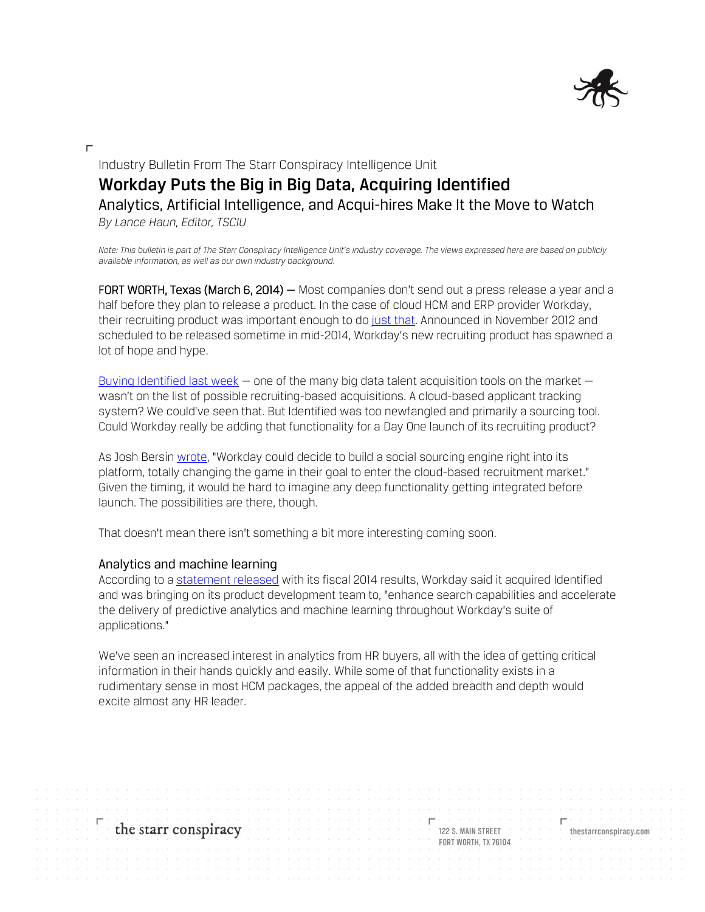

# Industry Bulletin From The Starr Conspiracy Intelligence Unit **Workday Puts the Big in Big Data, Acquiring Identified** Analytics, Artificial Intelligence, and Acqui-hires Make It the Move to Watch *By Lance Haun, Editor, TSCIU*

*Note: This bulletin is part of The Starr Conspiracy Intelligence Unit's industry coverage. The views expressed here are based on publicly available information, as well as our own industry background.*

FORT WORTH, Texas (March 6, 2014) – Most companies don't send out a press release a year and a half before they plan to release a product. In the case of cloud HCM and ERP provider Workday, their recruiting product was important enough to do [just that.](http://www.workday.com/company/news/press_archive/new_workday_recruiting_application_to_transform_talent_acquisition.php) Announced in November 2012 and scheduled to be released sometime in mid-2014, Workday's new recruiting product has spawned a lot of hope and hype.

[Buying Identified](http://techcrunch.com/2014/02/26/workday-acquires-hr-predicitive-analytics-company-identified/?ncid=rss) last week  $-$  one of the many big data talent acquisition tools on the market  $$ wasn't on the list of possible recruiting-based acquisitions. A cloud-based applicant tracking system? We could've seen that. But Identified was too newfangled and primarily a sourcing tool. Could Workday really be adding that functionality for a Day One launch of its recruiting product?

As Josh Bersin [wrote](http://www.forbes.com/sites/joshbersin/2014/02/27/workday-acquires-identified-a-potential-disruptive-move-in-recruiting/), "Workday could decide to build a social sourcing engine right into its platform, totally changing the game in their goal to enter the cloud-based recruitment market." Given the timing, it would be hard to imagine any deep functionality getting integrated before launch. The possibilities are there, though.

That doesn't mean there isn't something a bit more interesting coming soon.

### Analytics and machine learning

According to a [statement released](http://www.workday.com/Documents/pdf/investor/workday-announces-fourth-quarter-and-full-year-fiscal-2014-financial-results.pdf) with its fiscal 2014 results, Workday said it acquired Identified and was bringing on its product development team to, "enhance search capabilities and accelerate the delivery of predictive analytics and machine learning throughout Workday's suite of applications."

We've seen an increased interest in analytics from HR buyers, all with the idea of getting critical information in their hands quickly and easily. While some of that functionality exists in a rudimentary sense in most HCM packages, the appeal of the added breadth and depth would excite almost any HR leader.

the starr conspiracy

122 S. MAIN STREET **FORT WORTH: TX 76104**  thestarrconspiracy.com